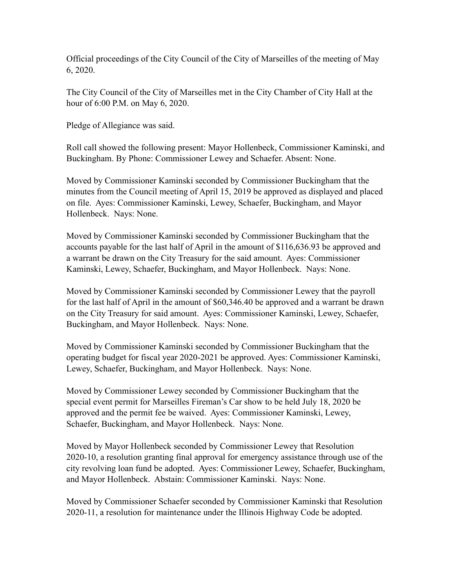Official proceedings of the City Council of the City of Marseilles of the meeting of May 6, 2020.

The City Council of the City of Marseilles met in the City Chamber of City Hall at the hour of 6:00 P.M. on May 6, 2020.

Pledge of Allegiance was said.

Roll call showed the following present: Mayor Hollenbeck, Commissioner Kaminski, and Buckingham. By Phone: Commissioner Lewey and Schaefer. Absent: None.

Moved by Commissioner Kaminski seconded by Commissioner Buckingham that the minutes from the Council meeting of April 15, 2019 be approved as displayed and placed on file. Ayes: Commissioner Kaminski, Lewey, Schaefer, Buckingham, and Mayor Hollenbeck. Nays: None.

Moved by Commissioner Kaminski seconded by Commissioner Buckingham that the accounts payable for the last half of April in the amount of \$116,636.93 be approved and a warrant be drawn on the City Treasury for the said amount. Ayes: Commissioner Kaminski, Lewey, Schaefer, Buckingham, and Mayor Hollenbeck. Nays: None.

Moved by Commissioner Kaminski seconded by Commissioner Lewey that the payroll for the last half of April in the amount of \$60,346.40 be approved and a warrant be drawn on the City Treasury for said amount. Ayes: Commissioner Kaminski, Lewey, Schaefer, Buckingham, and Mayor Hollenbeck. Nays: None.

Moved by Commissioner Kaminski seconded by Commissioner Buckingham that the operating budget for fiscal year 2020-2021 be approved. Ayes: Commissioner Kaminski, Lewey, Schaefer, Buckingham, and Mayor Hollenbeck. Nays: None.

Moved by Commissioner Lewey seconded by Commissioner Buckingham that the special event permit for Marseilles Fireman's Car show to be held July 18, 2020 be approved and the permit fee be waived. Ayes: Commissioner Kaminski, Lewey, Schaefer, Buckingham, and Mayor Hollenbeck. Nays: None.

Moved by Mayor Hollenbeck seconded by Commissioner Lewey that Resolution 2020-10, a resolution granting final approval for emergency assistance through use of the city revolving loan fund be adopted. Ayes: Commissioner Lewey, Schaefer, Buckingham, and Mayor Hollenbeck. Abstain: Commissioner Kaminski. Nays: None.

Moved by Commissioner Schaefer seconded by Commissioner Kaminski that Resolution 2020-11, a resolution for maintenance under the Illinois Highway Code be adopted.